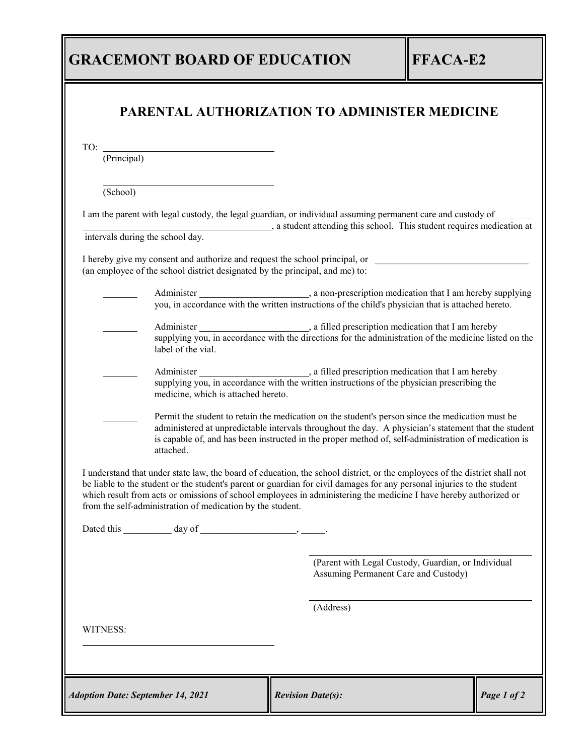## **GRACEMONT BOARD OF EDUCATION FFACA-E2**

| TO: $\frac{1}{(Principal)}$<br>(School)<br>I am the parent with legal custody, the legal guardian, or individual assuming permanent care and custody of<br>a student attending this school. This student requires medication at<br>intervals during the school day.<br>I hereby give my consent and authorize and request the school principal, or __________________________________<br>(an employee of the school district designated by the principal, and me) to:<br>label of the vial.<br>medicine, which is attached hereto.<br>Permit the student to retain the medication on the student's person since the medication must be<br>administered at unpredictable intervals throughout the day. A physician's statement that the student<br>is capable of, and has been instructed in the proper method of, self-administration of medication is<br>attached.<br>I understand that under state law, the board of education, the school district, or the employees of the district shall not<br>be liable to the student or the student's parent or guardian for civil damages for any personal injuries to the student<br>which result from acts or omissions of school employees in administering the medicine I have hereby authorized or<br>from the self-administration of medication by the student.<br>(Parent with Legal Custody, Guardian, or Individual<br>Assuming Permanent Care and Custody)<br>(Address)<br>WITNESS: |  |  |
|-----------------------------------------------------------------------------------------------------------------------------------------------------------------------------------------------------------------------------------------------------------------------------------------------------------------------------------------------------------------------------------------------------------------------------------------------------------------------------------------------------------------------------------------------------------------------------------------------------------------------------------------------------------------------------------------------------------------------------------------------------------------------------------------------------------------------------------------------------------------------------------------------------------------------------------------------------------------------------------------------------------------------------------------------------------------------------------------------------------------------------------------------------------------------------------------------------------------------------------------------------------------------------------------------------------------------------------------------------------------------------------------------------------------------------------------|--|--|
|                                                                                                                                                                                                                                                                                                                                                                                                                                                                                                                                                                                                                                                                                                                                                                                                                                                                                                                                                                                                                                                                                                                                                                                                                                                                                                                                                                                                                                         |  |  |
|                                                                                                                                                                                                                                                                                                                                                                                                                                                                                                                                                                                                                                                                                                                                                                                                                                                                                                                                                                                                                                                                                                                                                                                                                                                                                                                                                                                                                                         |  |  |
|                                                                                                                                                                                                                                                                                                                                                                                                                                                                                                                                                                                                                                                                                                                                                                                                                                                                                                                                                                                                                                                                                                                                                                                                                                                                                                                                                                                                                                         |  |  |
|                                                                                                                                                                                                                                                                                                                                                                                                                                                                                                                                                                                                                                                                                                                                                                                                                                                                                                                                                                                                                                                                                                                                                                                                                                                                                                                                                                                                                                         |  |  |
|                                                                                                                                                                                                                                                                                                                                                                                                                                                                                                                                                                                                                                                                                                                                                                                                                                                                                                                                                                                                                                                                                                                                                                                                                                                                                                                                                                                                                                         |  |  |
|                                                                                                                                                                                                                                                                                                                                                                                                                                                                                                                                                                                                                                                                                                                                                                                                                                                                                                                                                                                                                                                                                                                                                                                                                                                                                                                                                                                                                                         |  |  |
|                                                                                                                                                                                                                                                                                                                                                                                                                                                                                                                                                                                                                                                                                                                                                                                                                                                                                                                                                                                                                                                                                                                                                                                                                                                                                                                                                                                                                                         |  |  |
|                                                                                                                                                                                                                                                                                                                                                                                                                                                                                                                                                                                                                                                                                                                                                                                                                                                                                                                                                                                                                                                                                                                                                                                                                                                                                                                                                                                                                                         |  |  |
|                                                                                                                                                                                                                                                                                                                                                                                                                                                                                                                                                                                                                                                                                                                                                                                                                                                                                                                                                                                                                                                                                                                                                                                                                                                                                                                                                                                                                                         |  |  |
|                                                                                                                                                                                                                                                                                                                                                                                                                                                                                                                                                                                                                                                                                                                                                                                                                                                                                                                                                                                                                                                                                                                                                                                                                                                                                                                                                                                                                                         |  |  |
|                                                                                                                                                                                                                                                                                                                                                                                                                                                                                                                                                                                                                                                                                                                                                                                                                                                                                                                                                                                                                                                                                                                                                                                                                                                                                                                                                                                                                                         |  |  |
|                                                                                                                                                                                                                                                                                                                                                                                                                                                                                                                                                                                                                                                                                                                                                                                                                                                                                                                                                                                                                                                                                                                                                                                                                                                                                                                                                                                                                                         |  |  |
|                                                                                                                                                                                                                                                                                                                                                                                                                                                                                                                                                                                                                                                                                                                                                                                                                                                                                                                                                                                                                                                                                                                                                                                                                                                                                                                                                                                                                                         |  |  |
|                                                                                                                                                                                                                                                                                                                                                                                                                                                                                                                                                                                                                                                                                                                                                                                                                                                                                                                                                                                                                                                                                                                                                                                                                                                                                                                                                                                                                                         |  |  |
|                                                                                                                                                                                                                                                                                                                                                                                                                                                                                                                                                                                                                                                                                                                                                                                                                                                                                                                                                                                                                                                                                                                                                                                                                                                                                                                                                                                                                                         |  |  |